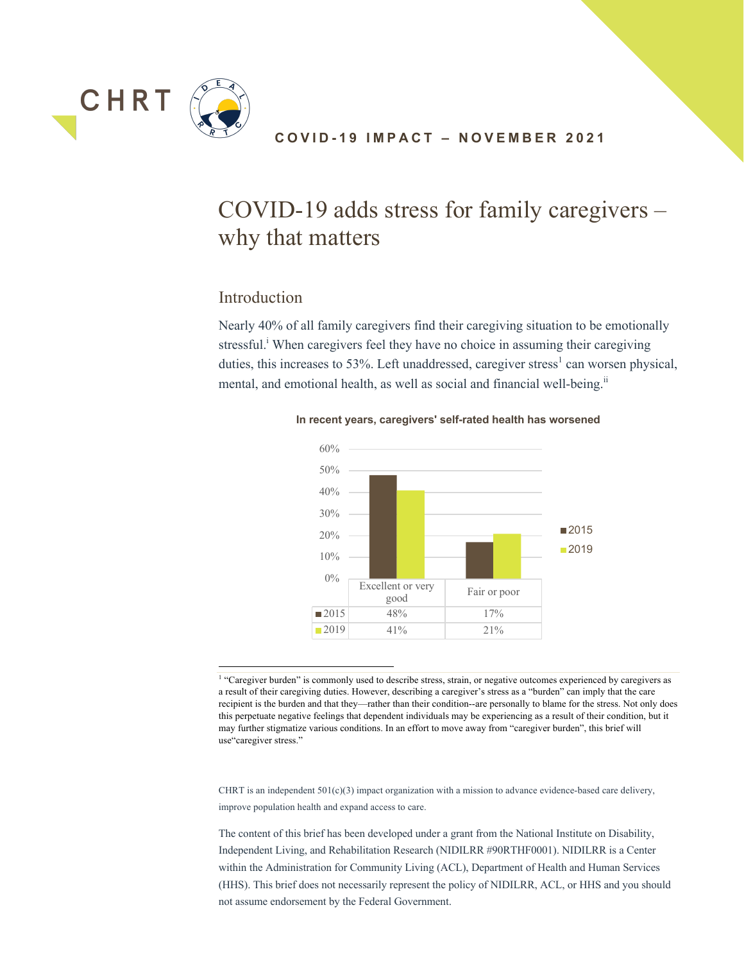

## **COVID - 19 IMPACT – NOVEMBER 2021**

# COVID-19 adds stress for family caregivers – why that matters

# Introduction

Nearly 40% of all family caregivers find their caregiving situation to be emotionally stressful.<sup>i</sup> When caregivers feel they have no choice in assuming their caregiving duties, this increases to 53%. Left unaddressed, caregiver stress<sup>1</sup> can worsen physical, mental, and emotional health, as well as social and financial well-being.<sup>ii</sup>



**In recent years, caregivers' self-rated health has worsened**

CHRT is an independent  $501(c)(3)$  impact organization with a mission to advance evidence-based care delivery, improve population health and expand access to care.

<sup>&</sup>lt;sup>1</sup> "Caregiver burden" is commonly used to describe stress, strain, or negative outcomes experienced by caregivers as a result of their caregiving duties. However, describing a caregiver's stress as a "burden" can imply that the care recipient is the burden and that they—rather than their condition--are personally to blame for the stress. Not only does this perpetuate negative feelings that dependent individuals may be experiencing as a result of their condition, but it may further stigmatize various conditions. In an effort to move away from "caregiver burden", this brief will use"caregiver stress."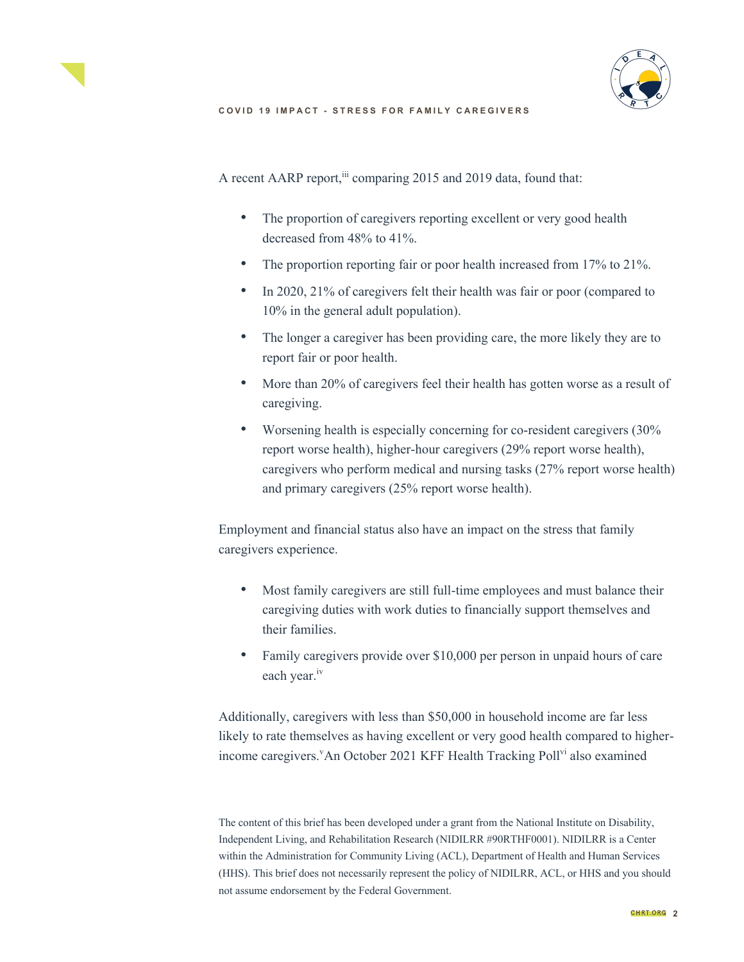



A recent AARP report,<sup>iii</sup> comparing 2015 and 2019 data, found that:

- The proportion of caregivers reporting excellent or very good health decreased from 48% to 41%.
- The proportion reporting fair or poor health increased from 17% to 21%.
- In 2020, 21% of caregivers felt their health was fair or poor (compared to 10% in the general adult population).
- The longer a caregiver has been providing care, the more likely they are to report fair or poor health.
- More than 20% of caregivers feel their health has gotten worse as a result of caregiving.
- Worsening health is especially concerning for co-resident caregivers (30%) report worse health), higher-hour caregivers (29% report worse health), caregivers who perform medical and nursing tasks (27% report worse health) and primary caregivers (25% report worse health).

Employment and financial status also have an impact on the stress that family caregivers experience.

- Most family caregivers are still full-time employees and must balance their caregiving duties with work duties to financially support themselves and their families.
- Family caregivers provide over \$10,000 per person in unpaid hours of care each year.<sup>iv</sup>

Additionally, caregivers with less than \$50,000 in household income are far less likely to rate themselves as having excellent or very good health compared to higherincome caregivers. An October 2021 KFF Health Tracking Poll<sup>vi</sup> also examined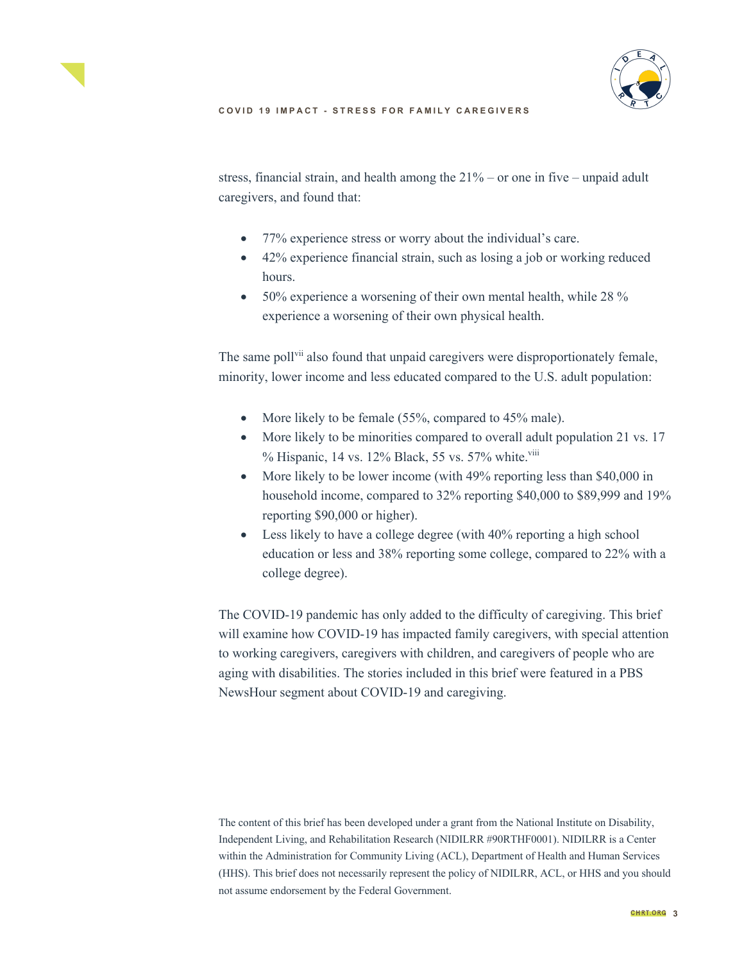



stress, financial strain, and health among the 21% – or one in five – unpaid adult caregivers, and found that:

- 77% experience stress or worry about the individual's care.
- 42% experience financial strain, such as losing a job or working reduced hours.
- 50% experience a worsening of their own mental health, while 28 % experience a worsening of their own physical health.

The same poll<sup>vii</sup> also found that unpaid caregivers were disproportionately female, minority, lower income and less educated compared to the U.S. adult population:

- More likely to be female (55%, compared to 45% male).
- More likely to be minorities compared to overall adult population 21 vs. 17 % Hispanic, 14 vs. 12% Black, 55 vs. 57% white.<sup>viii</sup>
- More likely to be lower income (with 49% reporting less than \$40,000 in household income, compared to 32% reporting \$40,000 to \$89,999 and 19% reporting \$90,000 or higher).
- Less likely to have a college degree (with 40% reporting a high school education or less and 38% reporting some college, compared to 22% with a college degree).

The COVID-19 pandemic has only added to the difficulty of caregiving. This brief will examine how COVID-19 has impacted family caregivers, with special attention to working caregivers, caregivers with children, and caregivers of people who are aging with disabilities. The stories included in this brief were featured in a PBS NewsHour segment about COVID-19 and caregiving.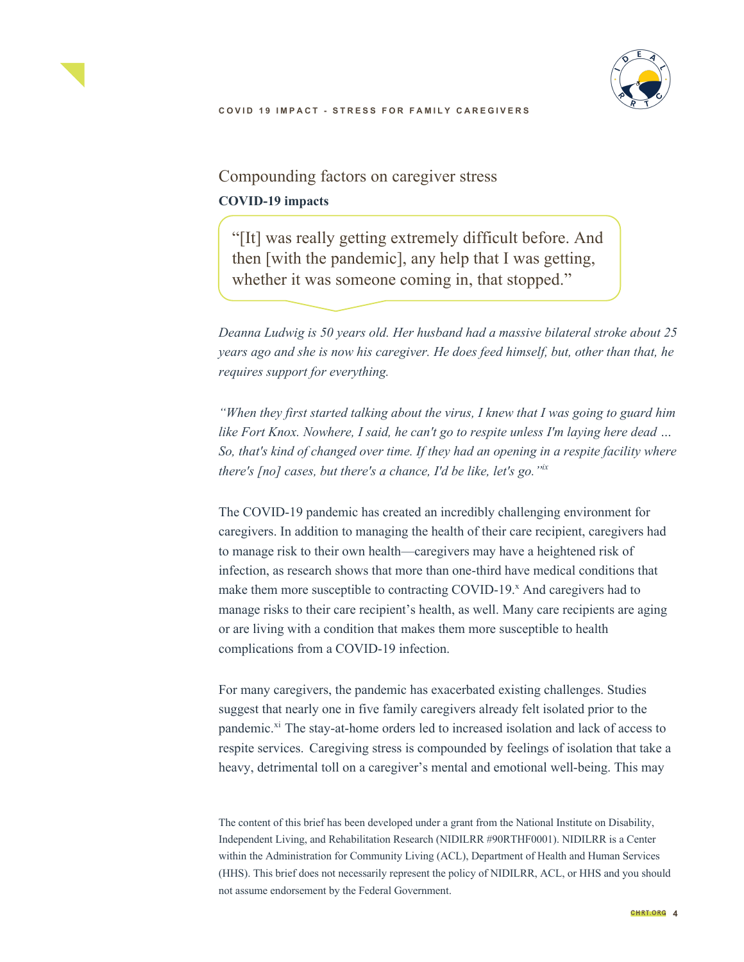



Compounding factors on caregiver stress **COVID-19 impacts**

"[It] was really getting extremely difficult before. And then [with the pandemic], any help that I was getting, whether it was someone coming in, that stopped."

*Deanna Ludwig is 50 years old. Her husband had a massive bilateral stroke about 25 years ago and she is now his caregiver. He does feed himself, but, other than that, he requires support for everything.* 

*"When they first started talking about the virus, I knew that I was going to guard him like Fort Knox. Nowhere, I said, he can't go to respite unless I'm laying here dead … So, that's kind of changed over time. If they had an opening in a respite facility where there's [no] cases, but there's a chance, I'd be like, let's go."ix*

The COVID-19 pandemic has created an incredibly challenging environment for caregivers. In addition to managing the health of their care recipient, caregivers had to manage risk to their own health—caregivers may have a heightened risk of infection, as research shows that more than one-third have medical conditions that make them more susceptible to contracting COVID-19.<sup>x</sup> And caregivers had to manage risks to their care recipient's health, as well. Many care recipients are aging or are living with a condition that makes them more susceptible to health complications from a COVID-19 infection.

For many caregivers, the pandemic has exacerbated existing challenges. Studies suggest that nearly one in five family caregivers already felt isolated prior to the pandemic.<sup>xi</sup> The stay-at-home orders led to increased isolation and lack of access to respite services. Caregiving stress is compounded by feelings of isolation that take a heavy, detrimental toll on a caregiver's mental and emotional well-being. This may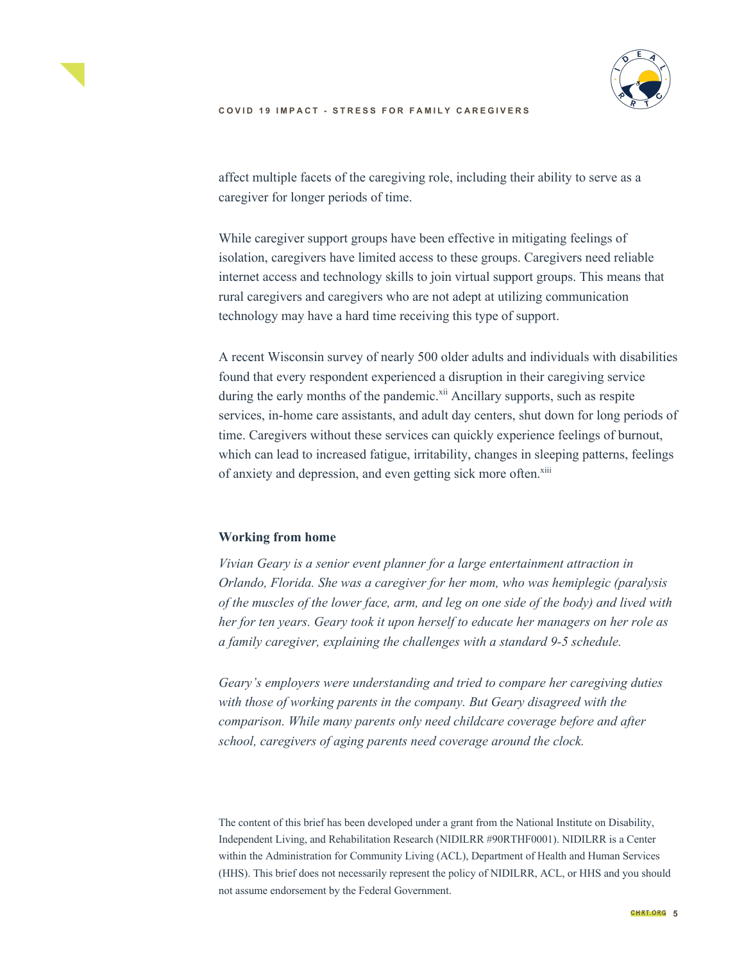



affect multiple facets of the caregiving role, including their ability to serve as a caregiver for longer periods of time.

While caregiver support groups have been effective in mitigating feelings of isolation, caregivers have limited access to these groups. Caregivers need reliable internet access and technology skills to join virtual support groups. This means that rural caregivers and caregivers who are not adept at utilizing communication technology may have a hard time receiving this type of support.

A recent Wisconsin survey of nearly 500 older adults and individuals with disabilities found that every respondent experienced a disruption in their caregiving service during the early months of the pandemic.<sup>xii</sup> Ancillary supports, such as respite services, in-home care assistants, and adult day centers, shut down for long periods of time. Caregivers without these services can quickly experience feelings of burnout, which can lead to increased fatigue, irritability, changes in sleeping patterns, feelings of anxiety and depression, and even getting sick more often.<sup>xiii</sup>

#### **Working from home**

*Vivian Geary is a senior event planner for a large entertainment attraction in Orlando, Florida. She was a caregiver for her mom, who was hemiplegic (paralysis of the muscles of the lower face, arm, and leg on one side of the body) and lived with her for ten years. Geary took it upon herself to educate her managers on her role as a family caregiver, explaining the challenges with a standard 9-5 schedule.* 

*Geary's employers were understanding and tried to compare her caregiving duties with those of working parents in the company. But Geary disagreed with the comparison. While many parents only need childcare coverage before and after school, caregivers of aging parents need coverage around the clock.*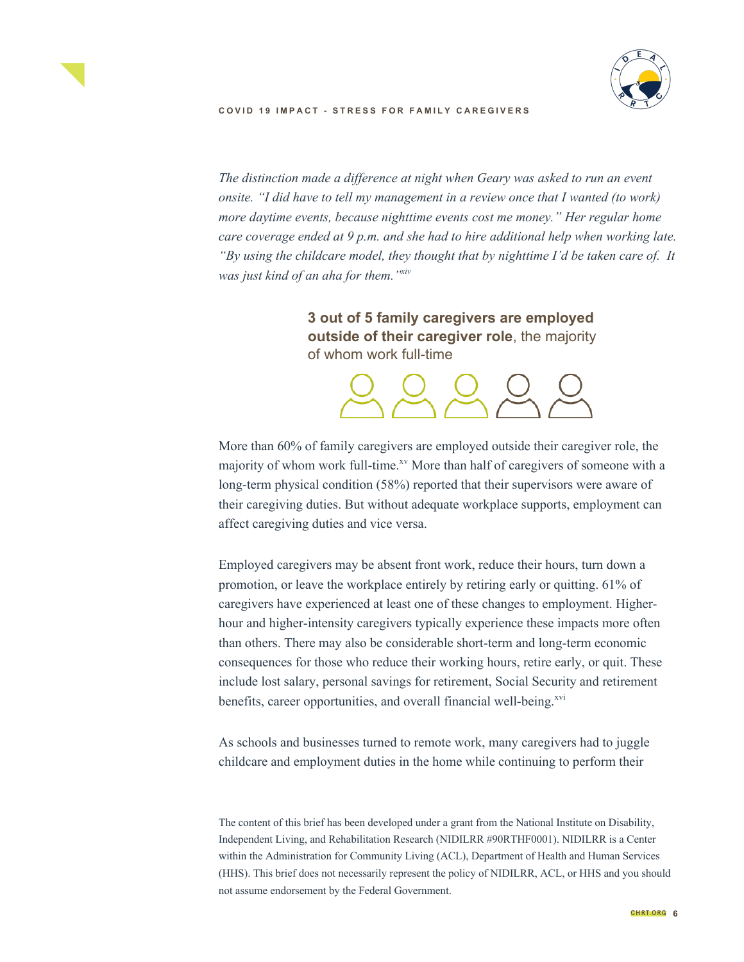

*The distinction made a difference at night when Geary was asked to run an event onsite. "I did have to tell my management in a review once that I wanted (to work) more daytime events, because nighttime events cost me money." Her regular home care coverage ended at 9 p.m. and she had to hire additional help when working late. "By using the childcare model, they thought that by nighttime I'd be taken care of. It was just kind of an aha for them."xiv*

> **3 out of 5 family caregivers are employed outside of their caregiver role**, the majority of whom work full-time



More than 60% of family caregivers are employed outside their caregiver role, the majority of whom work full-time.<sup>xv</sup> More than half of caregivers of someone with a long-term physical condition (58%) reported that their supervisors were aware of their caregiving duties. But without adequate workplace supports, employment can affect caregiving duties and vice versa.

Employed caregivers may be absent front work, reduce their hours, turn down a promotion, or leave the workplace entirely by retiring early or quitting. 61% of caregivers have experienced at least one of these changes to employment. Higherhour and higher-intensity caregivers typically experience these impacts more often than others. There may also be considerable short-term and long-term economic consequences for those who reduce their working hours, retire early, or quit. These include lost salary, personal savings for retirement, Social Security and retirement benefits, career opportunities, and overall financial well-being.<sup>xvi</sup>

As schools and businesses turned to remote work, many caregivers had to juggle childcare and employment duties in the home while continuing to perform their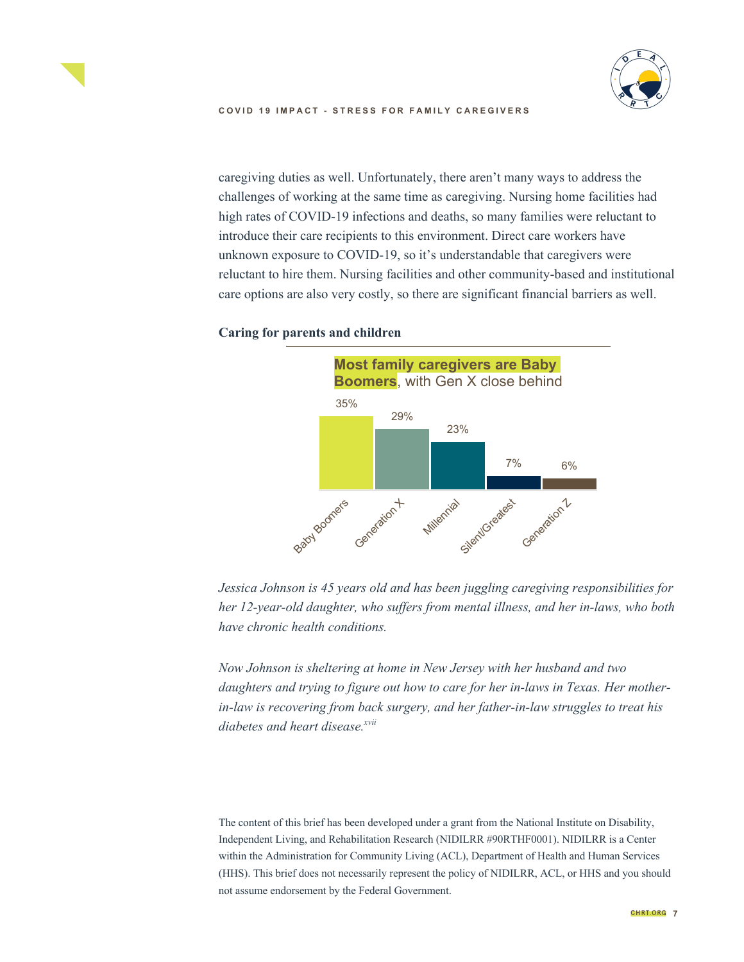

caregiving duties as well. Unfortunately, there aren't many ways to address the challenges of working at the same time as caregiving. Nursing home facilities had high rates of COVID-19 infections and deaths, so many families were reluctant to introduce their care recipients to this environment. Direct care workers have unknown exposure to COVID-19, so it's understandable that caregivers were reluctant to hire them. Nursing facilities and other community-based and institutional care options are also very costly, so there are significant financial barriers as well.



## **Caring for parents and children**

*Jessica Johnson is 45 years old and has been juggling caregiving responsibilities for her 12-year-old daughter, who suffers from mental illness, and her in-laws, who both have chronic health conditions.* 

*Now Johnson is sheltering at home in New Jersey with her husband and two daughters and trying to figure out how to care for her in-laws in Texas. Her motherin-law is recovering from back surgery, and her father-in-law struggles to treat his*  diabetes and heart disease.<sup>xvii</sup>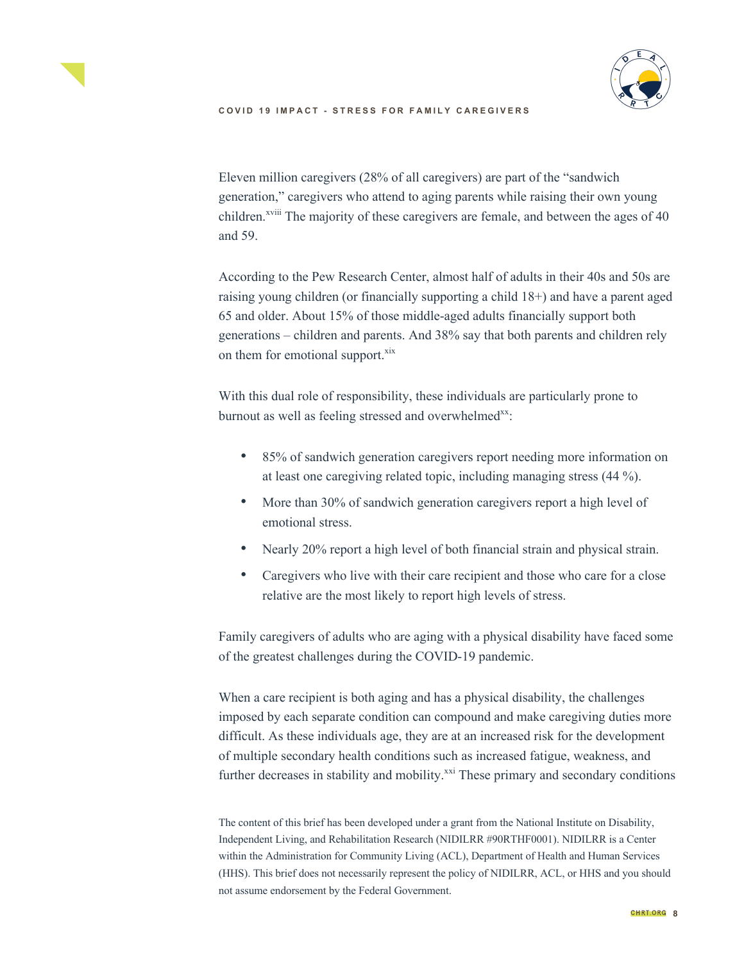

Eleven million caregivers (28% of all caregivers) are part of the "sandwich generation," caregivers who attend to aging parents while raising their own young children.<sup>xviii</sup> The majority of these caregivers are female, and between the ages of 40 and 59.

According to the Pew Research Center, almost half of adults in their 40s and 50s are raising young children (or financially supporting a child 18+) and have a parent aged 65 and older. About 15% of those middle-aged adults financially support both generations – children and parents. And 38% say that both parents and children rely on them for emotional support.<sup>xix</sup>

With this dual role of responsibility, these individuals are particularly prone to burnout as well as feeling stressed and overwhelmed<sup>xx</sup>:

- 85% of sandwich generation caregivers report needing more information on at least one caregiving related topic, including managing stress (44 %).
- More than 30% of sandwich generation caregivers report a high level of emotional stress.
- Nearly 20% report a high level of both financial strain and physical strain.
- Caregivers who live with their care recipient and those who care for a close relative are the most likely to report high levels of stress.

Family caregivers of adults who are aging with a physical disability have faced some of the greatest challenges during the COVID-19 pandemic.

When a care recipient is both aging and has a physical disability, the challenges imposed by each separate condition can compound and make caregiving duties more difficult. As these individuals age, they are at an increased risk for the development of multiple secondary health conditions such as increased fatigue, weakness, and further decreases in stability and mobility.<sup>xxi</sup> These primary and secondary conditions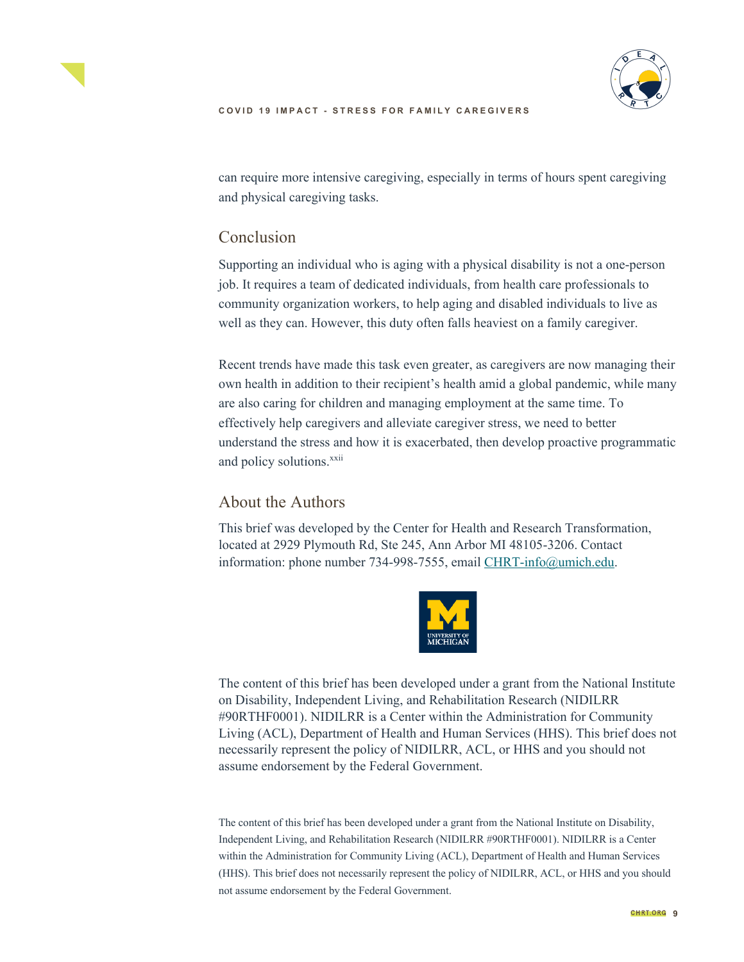



can require more intensive caregiving, especially in terms of hours spent caregiving and physical caregiving tasks.

# Conclusion

Supporting an individual who is aging with a physical disability is not a one-person job. It requires a team of dedicated individuals, from health care professionals to community organization workers, to help aging and disabled individuals to live as well as they can. However, this duty often falls heaviest on a family caregiver.

Recent trends have made this task even greater, as caregivers are now managing their own health in addition to their recipient's health amid a global pandemic, while many are also caring for children and managing employment at the same time. To effectively help caregivers and alleviate caregiver stress, we need to better understand the stress and how it is exacerbated, then develop proactive programmatic and policy solutions.<sup>xxii</sup>

# About the Authors

This brief was developed by the Center for Health and Research Transformation, located at 2929 Plymouth Rd, Ste 245, Ann Arbor MI 48105-3206. Contact information: phone number 734-998-7555, email CHRT-info@umich.edu.



The content of this brief has been developed under a grant from the National Institute on Disability, Independent Living, and Rehabilitation Research (NIDILRR #90RTHF0001). NIDILRR is a Center within the Administration for Community Living (ACL), Department of Health and Human Services (HHS). This brief does not necessarily represent the policy of NIDILRR, ACL, or HHS and you should not assume endorsement by the Federal Government.